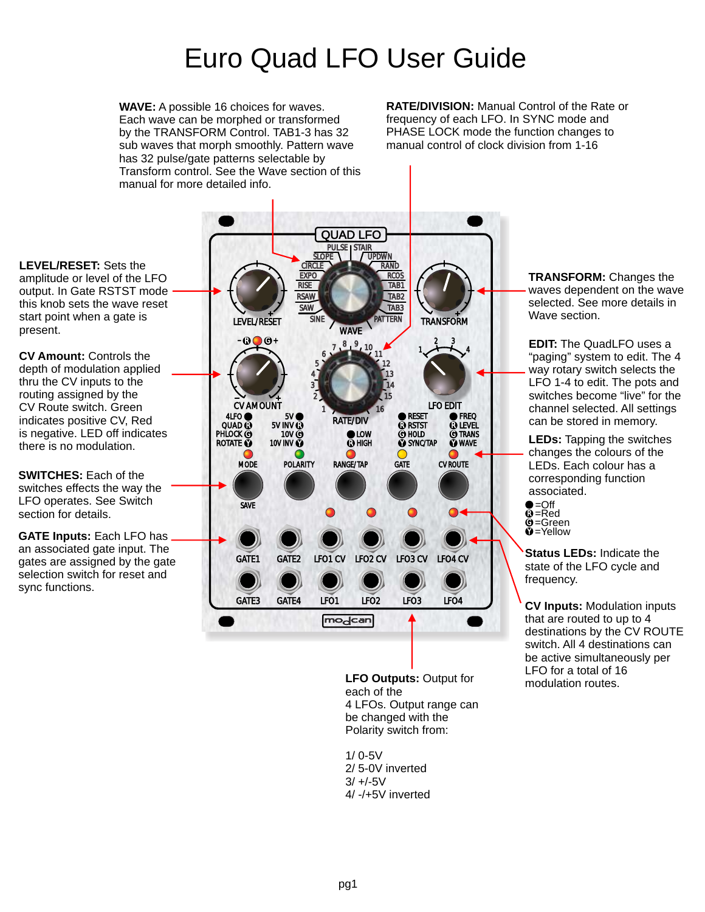## Euro Quad LFO User Guide

**WAVE:** A possible 16 choices for waves. Each wave can be morphed or transformed by the TRANSFORM Control. TAB1-3 has 32 sub waves that morph smoothly. Pattern wave has 32 pulse/gate patterns selectable by Transform control. See the Wave section of this manual for more detailed info.

**RATE/DIVISION:** Manual Control of the Rate or frequency of each LFO. In SYNC mode and PHASE LOCK mode the function changes to manual control of clock division from 1-16

**LEVEL/RESET:** Sets the amplitude or level of the LFO output. In Gate RSTST mode this knob sets the wave reset start point when a gate is present.

**CV Amount:** Controls the depth of modulation applied thru the CV inputs to the routing assigned by the CV Route switch. Green indicates positive CV, Red is negative. LED off indicates there is no modulation.

**SWITCHES:** Each of the switches effects the way the LFO operates. See Switch section for details.

**GATE Inputs:** Each LFO has an associated gate input. The gates are assigned by the gate selection switch for reset and sync functions.



**LFO Outputs:** Output for each of the 4 LFOs. Output range can be changed with the Polarity switch from:

1/ 0-5V 2/ 5-0V inverted  $3/ +/-5V$ 4/ -/+5V inverted **TRANSFORM:** Changes the waves dependent on the wave selected. See more details in Wave section.

**EDIT:** The QuadLFO uses a "paging" system to edit. The 4 way rotary switch selects the LFO 1-4 to edit. The pots and switches become "live" for the channel selected. All settings can be stored in memory.

**LEDs:** Tapping the switches changes the colours of the LEDs. Each colour has a corresponding function associated.

R =Red **ĝ**=Green **D**=Yellow  $\bullet$ =Off

**Status LEDs:** Indicate the state of the LFO cycle and frequency.

**CV Inputs:** Modulation inputs that are routed to up to 4 destinations by the CV ROUTE switch. All 4 destinations can be active simultaneously per LFO for a total of 16 modulation routes.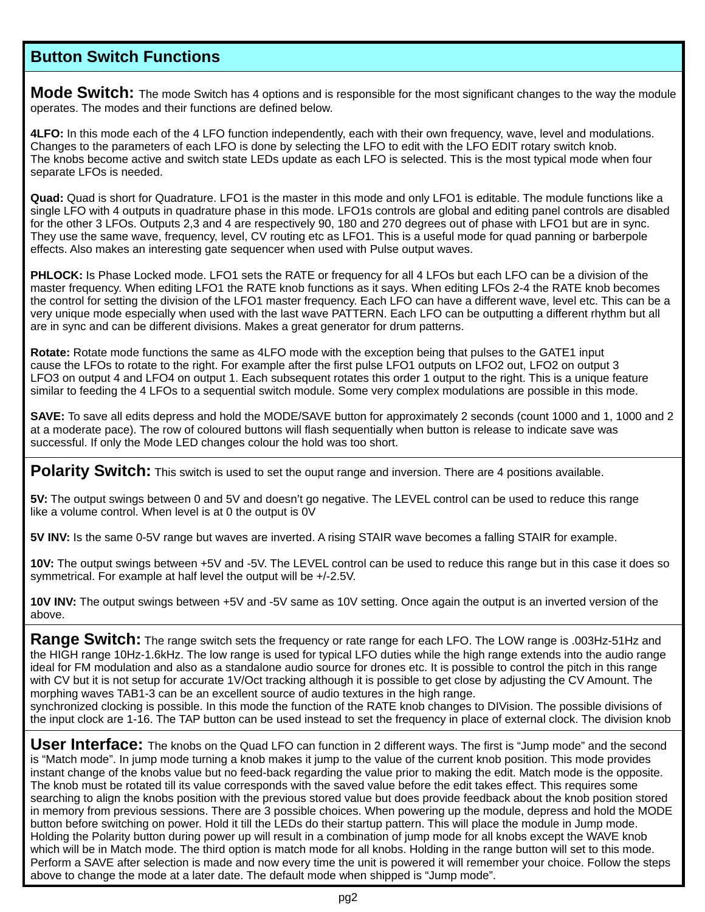## **Button Switch Functions**

Mode Switch: The mode Switch has 4 options and is responsible for the most significant changes to the way the module operates. The modes and their functions are defined below.

**4LFO:** In this mode each of the 4 LFO function independently, each with their own frequency, wave, level and modulations. Changes to the parameters of each LFO is done by selecting the LFO to edit with the LFO EDIT rotary switch knob. The knobs become active and switch state LEDs update as each LFO is selected. This is the most typical mode when four separate LFOs is needed.

**Quad:** Quad is short for Quadrature. LFO1 is the master in this mode and only LFO1 is editable. The module functions like a single LFO with 4 outputs in quadrature phase in this mode. LFO1s controls are global and editing panel controls are disabled for the other 3 LFOs. Outputs 2,3 and 4 are respectively 90, 180 and 270 degrees out of phase with LFO1 but are in sync. They use the same wave, frequency, level, CV routing etc as LFO1. This is a useful mode for quad panning or barberpole effects. Also makes an interesting gate sequencer when used with Pulse output waves.

**PHLOCK:** Is Phase Locked mode. LFO1 sets the RATE or frequency for all 4 LFOs but each LFO can be a division of the master frequency. When editing LFO1 the RATE knob functions as it says. When editing LFOs 2-4 the RATE knob becomes the control for setting the division of the LFO1 master frequency. Each LFO can have a different wave, level etc. This can be a very unique mode especially when used with the last wave PATTERN. Each LFO can be outputting a different rhythm but all are in sync and can be different divisions. Makes a great generator for drum patterns.

**Rotate:** Rotate mode functions the same as 4LFO mode with the exception being that pulses to the GATE1 input cause the LFOs to rotate to the right. For example after the first pulse LFO1 outputs on LFO2 out, LFO2 on output 3 LFO3 on output 4 and LFO4 on output 1. Each subsequent rotates this order 1 output to the right. This is a unique feature similar to feeding the 4 LFOs to a sequential switch module. Some very complex modulations are possible in this mode.

**SAVE:** To save all edits depress and hold the MODE/SAVE button for approximately 2 seconds (count 1000 and 1, 1000 and 2 at a moderate pace). The row of coloured buttons will flash sequentially when button is release to indicate save was successful. If only the Mode LED changes colour the hold was too short.

**Polarity Switch:** This switch is used to set the ouput range and inversion. There are 4 positions available.

**5V:** The output swings between 0 and 5V and doesn't go negative. The LEVEL control can be used to reduce this range like a volume control. When level is at 0 the output is 0V

**5V INV:** Is the same 0-5V range but waves are inverted. A rising STAIR wave becomes a falling STAIR for example.

**10V:** The output swings between +5V and -5V. The LEVEL control can be used to reduce this range but in this case it does so symmetrical. For example at half level the output will be +/-2.5V.

**10V INV:** The output swings between +5V and -5V same as 10V setting. Once again the output is an inverted version of the above.

**Range Switch:** The range switch sets the frequency or rate range for each LFO. The LOW range is .003Hz-51Hz and the HIGH range 10Hz-1.6kHz. The low range is used for typical LFO duties while the high range extends into the audio range ideal for FM modulation and also as a standalone audio source for drones etc. It is possible to control the pitch in this range with CV but it is not setup for accurate 1V/Oct tracking although it is possible to get close by adjusting the CV Amount. The morphing waves TAB1-3 can be an excellent source of audio textures in the high range. synchronized clocking is possible. In this mode the function of the RATE knob changes to DIVision. The possible divisions of the input clock are 1-16. The TAP button can be used instead to set the frequency in place of external clock. The division knob

**User Interface:** The knobs on the Quad LFO can function in 2 different ways. The first is "Jump mode" and the second is "Match mode". In jump mode turning a knob makes it jump to the value of the current knob position. This mode provides instant change of the knobs value but no feed-back regarding the value prior to making the edit. Match mode is the opposite. The knob must be rotated till its value corresponds with the saved value before the edit takes effect. This requires some searching to align the knobs position with the previous stored value but does provide feedback about the knob position stored in memory from previous sessions. There are 3 possible choices. When powering up the module, depress and hold the MODE button before switching on power. Hold it till the LEDs do their startup pattern. This will place the module in Jump mode. Holding the Polarity button during power up will result in a combination of jump mode for all knobs except the WAVE knob which will be in Match mode. The third option is match mode for all knobs. Holding in the range button will set to this mode. Perform a SAVE after selection is made and now every time the unit is powered it will remember your choice. Follow the steps above to change the mode at a later date. The default mode when shipped is "Jump mode".